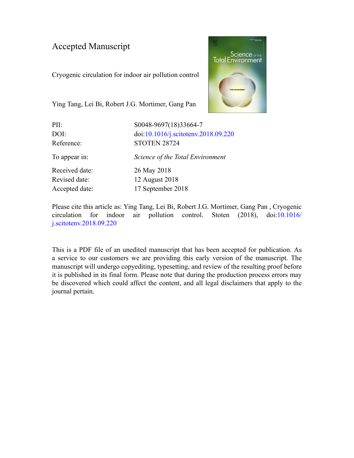### Accepted Manuscript

Cryogenic circulation for indoor air pollution control



Ying Tang, Lei Bi, Robert J.G. Mortimer, Gang Pan

| PII:               | S0048-9697(18)33664-7                                      |  |  |
|--------------------|------------------------------------------------------------|--|--|
| DOI:<br>Reference: | doi:10.1016/j.scitotenv.2018.09.220<br><b>STOTEN 28724</b> |  |  |
| To appear in:      | Science of the Total Environment                           |  |  |
| Received date:     | 26 May 2018                                                |  |  |
| Revised date:      | 12 August 2018                                             |  |  |
| Accepted date:     | 17 September 2018                                          |  |  |
|                    |                                                            |  |  |

Please cite this article as: Ying Tang, Lei Bi, Robert J.G. Mortimer, Gang Pan , Cryogenic circulation for indoor air pollution control. Stoten (2018), doi:[10.1016/](https://doi.org/10.1016/j.scitotenv.2018.09.220) [j.scitotenv.2018.09.220](https://doi.org/10.1016/j.scitotenv.2018.09.220)

This is a PDF file of an unedited manuscript that has been accepted for publication. As a service to our customers we are providing this early version of the manuscript. The manuscript will undergo copyediting, typesetting, and review of the resulting proof before it is published in its final form. Please note that during the production process errors may be discovered which could affect the content, and all legal disclaimers that apply to the journal pertain.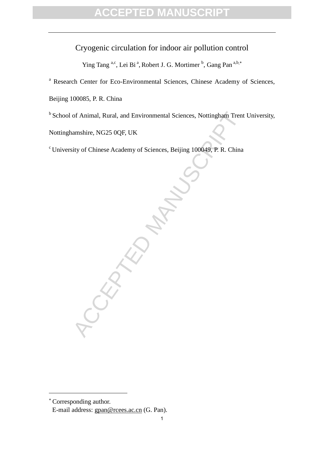### Cryogenic circulation for indoor air pollution control

Ying Tang a,c, Lei Bi<sup>a</sup>, Robert J. G. Mortimer<sup>b</sup>, Gang Pan<sup>a,b,\*</sup>

<sup>a</sup> Research Center for Eco-Environmental Sciences, Chinese Academy of Sciences,

Beijing 100085, P. R. China

<sup>b</sup> School of Animal, Rural, and Environmental Sciences, Nottingham Trent University,

Nottinghamshire, NG25 0QF, UK

<sup>c</sup> University of Chinese Academy of Sciences, Beijing 100049, P. R. China

Corresponding author.

1

ACCEPTED

E-mail address: [gpan@rcees.ac.cn](mailto:gpan@rcees.ac.cn) (G. Pan).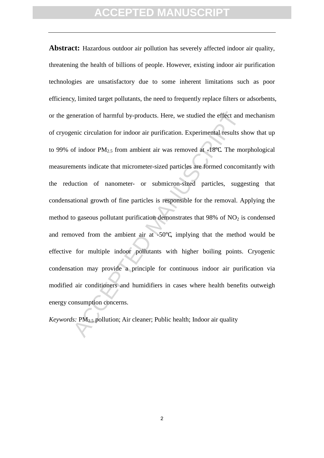meration of harmful by-products. Here, we studied the effect and<br>enic circulation for indoor air purification. Experimental results sl<br>of indoor  $PM_{2.5}$  from ambient air was removed at -18°C. The mo<br>ments indicate that m **Abstract:** Hazardous outdoor air pollution has severely affected indoor air quality, threatening the health of billions of people. However, existing indoor air purification technologies are unsatisfactory due to some inherent limitations such as poor efficiency, limited target pollutants, the need to frequently replace filters or adsorbents, or the generation of harmful by-products. Here, we studied the effect and mechanism of cryogenic circulation for indoor air purification. Experimental results show that up to 99% of indoor  $PM_{2.5}$  from ambient air was removed at -18°C. The morphological measurements indicate that micrometer-sized particles are formed concomitantly with the reduction of nanometer- or submicron-sized particles, suggesting that condensational growth of fine particles is responsible for the removal. Applying the method to gaseous pollutant purification demonstrates that  $98\%$  of NO<sub>2</sub> is condensed and removed from the ambient air at -50℃, implying that the method would be effective for multiple indoor pollutants with higher boiling points. Cryogenic condensation may provide a principle for continuous indoor air purification via modified air conditioners and humidifiers in cases where health benefits outweigh energy consumption concerns.

*Keywords:* PM<sub>2.5</sub> pollution; Air cleaner; Public health; Indoor air quality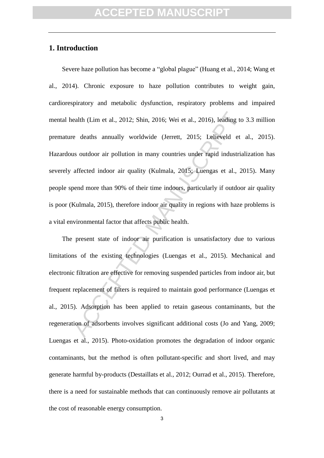#### **1. Introduction**

ealth (Lim et al., 2012; Shin, 2016; Wei et al., 2016), leading to<br>
be deaths annually worldwide (Jerrett, 2015; Lelieveld et<br>
us outdoor air pollution in many countries under rapid industrial<br>
affected indoor air quality Severe haze pollution has become a "global plague" (Huang et al., 2014; Wang et al., 2014). Chronic exposure to haze pollution contributes to weight gain, cardiorespiratory and metabolic dysfunction, respiratory problems and impaired mental health (Lim et al., 2012; Shin, 2016; Wei et al., 2016), leading to 3.3 million premature deaths annually worldwide (Jerrett, 2015; Lelieveld et al., 2015). Hazardous outdoor air pollution in many countries under rapid industrialization has severely affected indoor air quality (Kulmala, 2015; Luengas et al., 2015). Many people spend more than 90% of their time indoors, particularly if outdoor air quality is poor (Kulmala, 2015), therefore indoor air quality in regions with haze problems is a vital environmental factor that affects public health.

The present state of indoor air purification is unsatisfactory due to various limitations of the existing technologies (Luengas et al., 2015). Mechanical and electronic filtration are effective for removing suspended particles from indoor air, but frequent replacement of filters is required to maintain good performance (Luengas et al., 2015). Adsorption has been applied to retain gaseous contaminants, but the regeneration of adsorbents involves significant additional costs (Jo and Yang, 2009; Luengas et al., 2015). Photo-oxidation promotes the degradation of indoor organic contaminants, but the method is often pollutant-specific and short lived, and may generate harmful by-products (Destaillats et al., 2012; Ourrad et al., 2015). Therefore, there is a need for sustainable methods that can continuously remove air pollutants at the cost of reasonable energy consumption.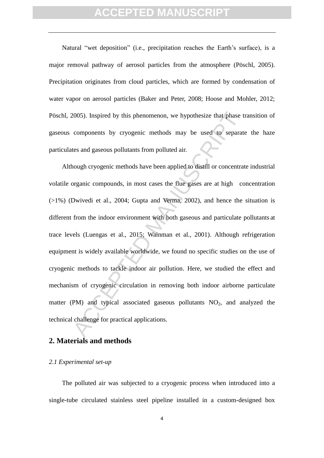Natural "wet deposition" (i.e., precipitation reaches the Earth's surface), is a major removal pathway of aerosol particles from the atmosphere (Pöschl, 2005). Precipitation originates from cloud particles, which are formed by condensation of water vapor on aerosol particles (Baker and Peter, 2008; Hoose and Mohler, 2012; Pöschl, 2005). Inspired by this phenomenon, we hypothesize that phase transition of gaseous components by cryogenic methods may be used to separate the haze particulates and gaseous pollutants from polluted air.

2005). Inspired by this phenomenon, we hypothesize that phase t components by cryogenic methods may be used to separate these and gaseous pollutants from polluted air.<br>
hough cryogenic methods have been applied to distill Although cryogenic methods have been applied to distill or concentrate industrial volatile organic compounds, in most cases the flue gases are at high concentration  $(>1%)$  (Dwivedi et al., 2004; Gupta and Verma, 2002), and hence the situation is different from the indoor environment with both gaseous and particulate pollutants at trace levels (Luengas et al., 2015; Wainman et al., 2001). Although refrigeration equipment is widely available worldwide, we found no specific studies on the use of cryogenic methods to tackle indoor air pollution. Here, we studied the effect and mechanism of cryogenic circulation in removing both indoor airborne particulate matter (PM) and typical associated gaseous pollutants  $NO<sub>2</sub>$ , and analyzed the technical challenge for practical applications.

#### **2. Materials and methods**

#### *2.1 Experimental set-up*

The polluted air was subjected to a cryogenic process when introduced into a single-tube circulated stainless steel pipeline installed in a custom-designed box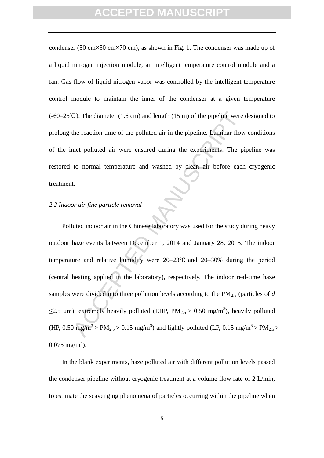condenser (50 cm×50 cm×70 cm), as shown in Fig. 1. The condenser was made up of a liquid nitrogen injection module, an intelligent temperature control module and a fan. Gas flow of liquid nitrogen vapor was controlled by the intelligent temperature control module to maintain the inner of the condenser at a given temperature (-60–25℃). The diameter (1.6 cm) and length (15 m) of the pipeline were designed to prolong the reaction time of the polluted air in the pipeline. Laminar flow conditions of the inlet polluted air were ensured during the experiments. The pipeline was restored to normal temperature and washed by clean air before each cryogenic treatment.

### *2.2 Indoor air fine particle removal*

C). The diameter (1.6 cm) and length (15 m) of the pipeline were<br>the reaction time of the polluted air in the pipeline. Laminar flow<br>the reaction time of the polluted air in the pipeline. Laminar flow<br>the polluted air wer Polluted indoor air in the Chinese laboratory was used for the study during heavy outdoor haze events between December 1, 2014 and January 28, 2015. The indoor temperature and relative humidity were 20–23℃ and 20–30% during the period (central heating applied in the laboratory), respectively. The indoor real-time haze samples were divided into three pollution levels according to the PM2.5 (particles of *d*  $\leq$ 2.5 µm): extremely heavily polluted (EHP, PM<sub>2.5</sub> > 0.50 mg/m<sup>3</sup>), heavily polluted (HP, 0.50 mg/m<sup>3</sup> > PM<sub>2.5</sub> > 0.15 mg/m<sup>3</sup>) and lightly polluted (LP, 0.15 mg/m<sup>3</sup> > PM<sub>2.5</sub> >  $0.075$  mg/m<sup>3</sup>).

In the blank experiments, haze polluted air with different pollution levels passed the condenser pipeline without cryogenic treatment at a volume flow rate of 2 L/min, to estimate the scavenging phenomena of particles occurring within the pipeline when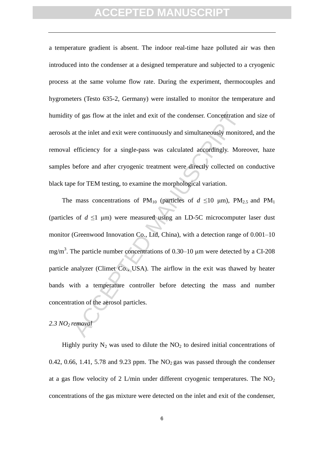a temperature gradient is absent. The indoor real-time haze polluted air was then introduced into the condenser at a designed temperature and subjected to a cryogenic process at the same volume flow rate. During the experiment, thermocouples and hygrometers (Testo 635-2, Germany) were installed to monitor the temperature and humidity of gas flow at the inlet and exit of the condenser. Concentration and size of aerosols at the inlet and exit were continuously and simultaneously monitored, and the removal efficiency for a single-pass was calculated accordingly. Moreover, haze samples before and after cryogenic treatment were directly collected on conductive black tape for TEM testing, to examine the morphological variation.

of gas flow at the inlet and exit of the condenser. Concentration<br>at the inlet and exit were continuously and simultaneously monito<br>efficiency for a single-pass was calculated accordingly. More<br>before and after cryogenic The mass concentrations of  $PM_{10}$  (particles of  $d \le 10 \mu m$ ),  $PM_{2.5}$  and  $PM_1$ (particles of  $d \leq 1$  µm) were measured using an LD-5C microcomputer laser dust monitor (Greenwood Innovation Co., Ltd, China), with a detection range of 0.001–10 mg/m<sup>3</sup>. The particle number concentrations of 0.30–10  $\mu$ m were detected by a CI-208 particle analyzer (Climet Co., USA). The airflow in the exit was thawed by heater bands with a temperature controller before detecting the mass and number concentration of the aerosol particles.

### *2.3 NO2 removal*

Highly purity  $N_2$  was used to dilute the  $NO_2$  to desired initial concentrations of 0.42, 0.66, 1.41, 5.78 and 9.23 ppm. The  $NO<sub>2</sub>$  gas was passed through the condenser at a gas flow velocity of 2 L/min under different cryogenic temperatures. The  $NO<sub>2</sub>$ concentrations of the gas mixture were detected on the inlet and exit of the condenser,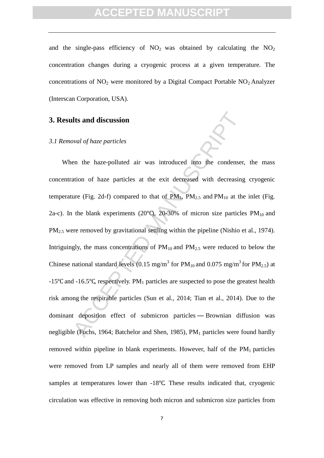and the single-pass efficiency of  $NO<sub>2</sub>$  was obtained by calculating the  $NO<sub>2</sub>$ concentration changes during a cryogenic process at a given temperature. The concentrations of  $NO<sub>2</sub>$  were monitored by a Digital Compact Portable  $NO<sub>2</sub>$  Analyzer (Interscan Corporation, USA).

#### **3. Results and discussion**

#### *3.1 Removal of haze particles*

**and discussion**<br>
by *wal of haze particles*<br>
en the haze-polluted air was introduced into the condenser,<br>
ation of haze particles at the exit decreased with decreasing<br>
ure (Fig. 2d-f) compared to that of PM<sub>1</sub>, PM<sub>2.5</sub> When the haze-polluted air was introduced into the condenser, the mass concentration of haze particles at the exit decreased with decreasing cryogenic temperature (Fig. 2d-f) compared to that of  $PM_1$ ,  $PM_{2.5}$  and  $PM_{10}$  at the inlet (Fig. 2a-c). In the blank experiments (20 $^{\circ}$ C), 20-30% of micron size particles PM<sub>10</sub> and PM<sub>2.5</sub> were removed by gravitational settling within the pipeline (Nishio et al., 1974). Intriguingly, the mass concentrations of  $PM_{10}$  and  $PM_{2.5}$  were reduced to below the Chinese national standard levels (0.15 mg/m<sup>3</sup> for  $PM_{10}$  and 0.075 mg/m<sup>3</sup> for  $PM_{2.5}$ ) at -15 $\degree$ C and -16.5 $\degree$ C, respectively. PM<sub>1</sub> particles are suspected to pose the greatest health risk among the respirable particles (Sun et al., 2014; Tian et al., 2014). Due to the dominant deposition effect of submicron particles — Brownian diffusion was negligible (Fuchs, 1964; Batchelor and Shen, 1985), PM<sub>1</sub> particles were found hardly removed within pipeline in blank experiments. However, half of the  $PM_1$  particles were removed from LP samples and nearly all of them were removed from EHP samples at temperatures lower than -18℃. These results indicated that, cryogenic circulation was effective in removing both micron and submicron size particles from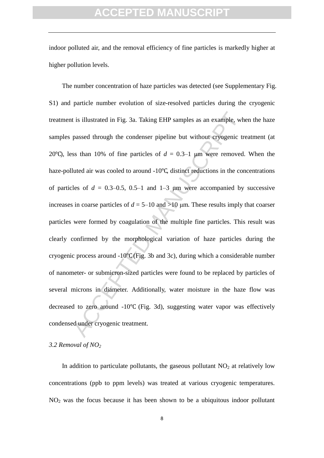indoor polluted air, and the removal efficiency of fine particles is markedly higher at higher pollution levels.

is illustrated in Fig. 3a. Taking EHP samples as an example, wh<br>passed through the condenser pipeline but without cryogenic tr<br>ss than 10% of fine particles of  $d = 0.3-1$  µm were removed.<br>luted air was cooled to around -1 The number concentration of haze particles was detected (see Supplementary Fig. S1) and particle number evolution of size-resolved particles during the cryogenic treatment is illustrated in Fig. 3a. Taking EHP samples as an example, when the haze samples passed through the condenser pipeline but without cryogenic treatment (at 20 $^{\circ}$ C), less than 10% of fine particles of  $d = 0.3-1$  um were removed. When the haze-polluted air was cooled to around -10℃, distinct reductions in the concentrations of particles of  $d = 0.3{\text -}0.5$ , 0.5–1 and 1–3  $\mu$ m were accompanied by successive increases in coarse particles of  $d = 5{\text -}10$  and  $>10$  µm. These results imply that coarser particles were formed by coagulation of the multiple fine particles. This result was clearly confirmed by the morphological variation of haze particles during the cryogenic process around -10℃ (Fig. 3b and 3c), during which a considerable number of nanometer- or submicron-sized particles were found to be replaced by particles of several microns in diameter. Additionally, water moisture in the haze flow was decreased to zero around -10℃ (Fig. 3d), suggesting water vapor was effectively condensed under cryogenic treatment.

#### *3.2 Removal of NO<sup>2</sup>*

In addition to particulate pollutants, the gaseous pollutant  $NO<sub>2</sub>$  at relatively low concentrations (ppb to ppm levels) was treated at various cryogenic temperatures.  $NO<sub>2</sub>$  was the focus because it has been shown to be a ubiquitous indoor pollutant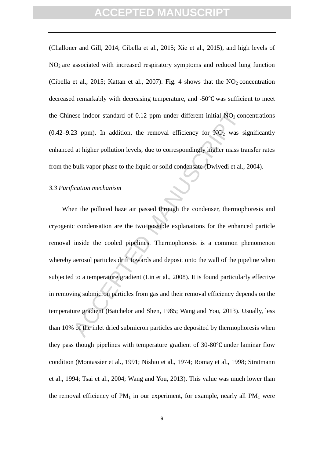(Challoner and Gill, 2014; Cibella et al., 2015; Xie et al., 2015), and high levels of  $NO<sub>2</sub>$  are associated with increased respiratory symptoms and reduced lung function (Cibella et al., 2015; Kattan et al., 2007). Fig. 4 shows that the  $NO<sub>2</sub>$  concentration decreased remarkably with decreasing temperature, and -50℃ was sufficient to meet the Chinese indoor standard of  $0.12$  ppm under different initial  $NO<sub>2</sub>$  concentrations (0.42–9.23 ppm). In addition, the removal efficiency for  $NO<sub>2</sub>$  was significantly enhanced at higher pollution levels, due to correspondingly higher mass transfer rates from the bulk vapor phase to the liquid or solid condensate (Dwivedi et al., 2004).

#### *3.3 Purification mechanism*

ese indoor standard of 0.12 ppm under different initial NO<sub>2</sub> cor<br>
23 ppm). In addition, the removal efficiency for NO<sub>2</sub> was s<br>
1 at higher pollution levels, due to correspondingly higher mass tr<br>
bulk vapor phase to the When the polluted haze air passed through the condenser, thermophoresis and cryogenic condensation are the two possible explanations for the enhanced particle removal inside the cooled pipelines. Thermophoresis is a common phenomenon whereby aerosol particles drift towards and deposit onto the wall of the pipeline when subjected to a temperature gradient (Lin et al., 2008). It is found particularly effective in removing submicron particles from gas and their removal efficiency depends on the temperature gradient (Batchelor and Shen, 1985; Wang and You, 2013). Usually, less than 10% of the inlet dried submicron particles are deposited by thermophoresis when they pass though pipelines with temperature gradient of 30-80℃ under laminar flow condition (Montassier et al., 1991; Nishio et al., 1974; Romay et al., 1998; Stratmann et al., 1994; Tsai et al., 2004; Wang and You, 2013). This value was much lower than the removal efficiency of  $PM_1$  in our experiment, for example, nearly all  $PM_1$  were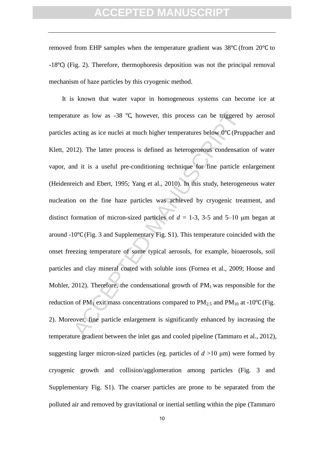removed from EHP samples when the temperature gradient was 38℃ (from 20℃ to -18℃) (Fig. 2). Therefore, thermophoresis deposition was not the principal removal mechanism of haze particles by this cryogenic method.

ure as low as -38 °C, however, this process can be triggered<br>acting as ice nuclei at much higher temperatures below 0°C (Prup<br>112). The latter process is defined as heterogeneous condensation<br>of it is a useful pre-condit It is known that water vapor in homogeneous systems can become ice at temperature as low as -38 ℃, however, this process can be triggered by aerosol particles acting as ice nuclei at much higher temperatures below 0℃ (Pruppacher and Klett, 2012). The latter process is defined as heterogeneous condensation of water vapor, and it is a useful pre-conditioning technique for fine particle enlargement (Heidenreich and Ebert, 1995; Yang et al., 2010). In this study, heterogeneous water nucleation on the fine haze particles was achieved by cryogenic treatment, and distinct formation of micron-sized particles of *d* = 1-3, 3-5 and 5–10 μm began at around -10℃(Fig. 3 and Supplementary Fig. S1). This temperature coincided with the onset freezing temperature of some typical aerosols, for example, bioaerosols, soil particles and clay mineral coated with soluble ions (Fornea et al., 2009; Hoose and Mohler, 2012). Therefore, the condensational growth of  $PM_1$  was responsible for the reduction of PM<sub>1</sub> exit mass concentrations compared to PM<sub>2.5</sub> and PM<sub>10</sub> at -10°C (Fig. 2). Moreover, fine particle enlargement is significantly enhanced by increasing the temperature gradient between the inlet gas and cooled pipeline (Tammaro et al., 2012), suggesting larger micron-sized particles (eg. particles of  $d > 10 \mu m$ ) were formed by cryogenic growth and collision/agglomeration among particles (Fig. 3 and Supplementary Fig. S1). The coarser particles are prone to be separated from the polluted air and removed by gravitational or inertial settling within the pipe (Tammaro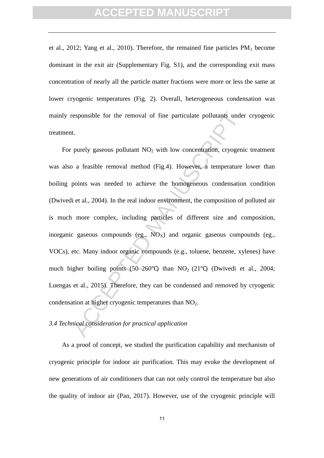et al., 2012; Yang et al., 2010). Therefore, the remained fine particles  $PM_1$  become dominant in the exit air (Supplementary Fig. S1), and the corresponding exit mass concentration of nearly all the particle matter fractions were more or less the same at lower cryogenic temperatures (Fig. 2). Overall, heterogeneous condensation was mainly responsible for the removal of fine particulate pollutants under cryogenic treatment.

esponsible for the removal of fine particulate pollutants under<br>t.<br>
t.<br>
t.<br>
purely gaseous pollutant NO<sub>2</sub> with low concentration, cryogeni<br>
a feasible removal method (Fig.4). However, a temperature<br>
points was needed to For purely gaseous pollutant  $NO<sub>2</sub>$  with low concentration, cryogenic treatment was also a feasible removal method (Fig.4). However, a temperature lower than boiling points was needed to achieve the homogeneous condensation condition (Dwivedi et al., 2004). In the real indoor environment, the composition of polluted air is much more complex, including particles of different size and composition, inorganic gaseous compounds (eg.,  $NO_X$ ) and organic gaseous compounds (eg., VOCs), etc. Many indoor organic compounds (e.g., toluene, benzene, xylenes) have much higher boiling points (50–260°C) than  $NO<sub>2</sub>$  (21°C) (Dwivedi et al., 2004; Luengas et al., 2015). Therefore, they can be condensed and removed by cryogenic condensation at higher cryogenic temperatures than  $NO<sub>2</sub>$ .

#### *3.4 Technical consideration for practical application*

As a proof of concept, we studied the purification capability and mechanism of cryogenic principle for indoor air purification. This may evoke the development of new generations of air conditioners that can not only control the temperature but also the quality of indoor air (Pan, 2017). However, use of the cryogenic principle will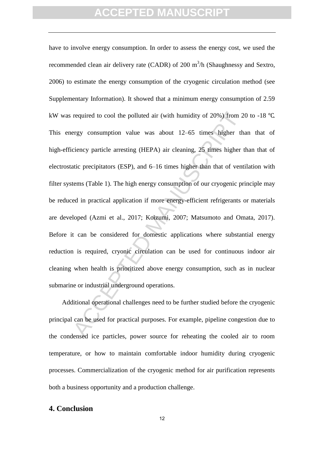required to cool the polluted air (with humidity of 20%) from 2<br>ergy consumption value was about 12–65 times higher the<br>ciency particle arresting (HEPA) air cleaning, 25 times higher that<br>atic precipitators (ESP), and 6–16 have to involve energy consumption. In order to assess the energy cost, we used the recommended clean air delivery rate (CADR) of 200  $m^3/h$  (Shaughnessy and Sextro, 2006) to estimate the energy consumption of the cryogenic circulation method (see Supplementary Information). It showed that a minimum energy consumption of 2.59 kW was required to cool the polluted air (with humidity of 20%) from 20 to -18 ℃. This energy consumption value was about 12–65 times higher than that of high-efficiency particle arresting (HEPA) air cleaning, 25 times higher than that of electrostatic precipitators (ESP), and 6–16 times higher than that of ventilation with filter systems (Table 1). The high energy consumption of our cryogenic principle may be reduced in practical application if more energy-efficient refrigerants or materials are developed (Azmi et al., 2017; Koizumi, 2007; Matsumoto and Omata, 2017). Before it can be considered for domestic applications where substantial energy reduction is required, cryonic circulation can be used for continuous indoor air cleaning when health is prioritized above energy consumption, such as in nuclear submarine or industrial underground operations.

Additional operational challenges need to be further studied before the cryogenic principal can be used for practical purposes. For example, pipeline congestion due to the condensed ice particles, power source for reheating the cooled air to room temperature, or how to maintain comfortable indoor humidity during cryogenic processes. Commercialization of the cryogenic method for air purification represents both a business opportunity and a production challenge.

#### **4. Conclusion**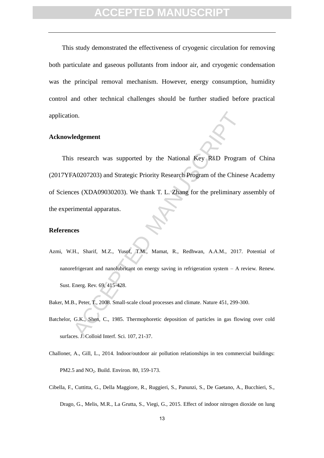This study demonstrated the effectiveness of cryogenic circulation for removing both particulate and gaseous pollutants from indoor air, and cryogenic condensation was the principal removal mechanism. However, energy consumption, humidity control and other technical challenges should be further studied before practical application.

#### **Acknowledgement**

on.<br>
Independent states are supported by the National Key R&D Program<br>
A0207203) and Strategic Priority Research Program of the Chines<br>
ces (XDA09030203). We thank T. L. Zhang for the preliminary a<br>
rimental apparatus.<br>
Ex This research was supported by the National Key R&D Program of China (2017YFA0207203) and Strategic Priority Research Program of the Chinese Academy of Sciences (XDA09030203). We thank T. L. Zhang for the preliminary assembly of the experimental apparatus.

#### **References**

- Azmi, W.H., Sharif, M.Z., Yusof, T.M., Mamat, R., Redhwan, A.A.M., 2017. Potential of nanorefrigerant and nanolubricant on energy saving in refrigeration system – A review. Renew. Sust. Energ. Rev. 69, 415-428.
- Baker, M.B., Peter, T., 2008. Small-scale cloud processes and climate. Nature 451, 299-300.
- Batchelor, G.K., Shen, C., 1985. Thermophoretic deposition of particles in gas flowing over cold surfaces. J. Colloid Interf. Sci. 107, 21-37.
- Challoner, A., Gill, L., 2014. Indoor/outdoor air pollution relationships in ten commercial buildings: PM2.5 and NO<sub>2</sub>. Build. Environ. 80, 159-173.
- Cibella, F., Cuttitta, G., Della Maggiore, R., Ruggieri, S., Panunzi, S., De Gaetano, A., Bucchieri, S., Drago, G., Melis, M.R., La Grutta, S., Viegi, G., 2015. Effect of indoor nitrogen dioxide on lung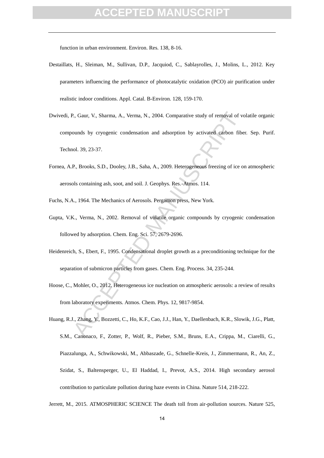function in urban environment. Environ. Res. 138, 8-16.

- Destaillats, H., Sleiman, M., Sullivan, D.P., Jacquiod, C., Sablayrolles, J., Molins, L., 2012. Key parameters influencing the performance of photocatalytic oxidation (PCO) air purification under realistic indoor conditions. Appl. Catal. B-Environ. 128, 159-170.
- P., Gaur, V., Sharma, A., Verma, N., 2004. Comparative study of removal of vc<br>counds by cryogenic condensation and adsorption by activated carbon fibe<br>tol. 39, 23-37.<br>P., Brooks, S.D., Dooley, J.B., Saha, A., 2009. Heterog Dwivedi, P., Gaur, V., Sharma, A., Verma, N., 2004. Comparative study of removal of volatile organic compounds by cryogenic condensation and adsorption by activated carbon fiber. Sep. Purif. Technol. 39, 23-37.
- Fornea, A.P., Brooks, S.D., Dooley, J.B., Saha, A., 2009. Heterogeneous freezing of ice on atmospheric aerosols containing ash, soot, and soil. J. Geophys. Res.-Atmos. 114.
- Fuchs, N.A., 1964. The Mechanics of Aerosols. Pergamon press, New York.
- Gupta, V.K., Verma, N., 2002. Removal of volatile organic compounds by cryogenic condensation followed by adsorption. Chem. Eng. Sci. 57, 2679-2696.
- Heidenreich, S., Ebert, F., 1995. Condensational droplet growth as a preconditioning technique for the separation of submicron particles from gases. Chem. Eng. Process. 34, 235-244.
- Hoose, C., Mohler, O., 2012. Heterogeneous ice nucleation on atmospheric aerosols: a review of results from laboratory experiments. Atmos. Chem. Phys. 12, 9817-9854.
- Huang, R.J., Zhang, Y., Bozzetti, C., Ho, K.F., Cao, J.J., Han, Y., Daellenbach, K.R., Slowik, J.G., Platt, S.M., Canonaco, F., Zotter, P., Wolf, R., Pieber, S.M., Bruns, E.A., Crippa, M., Ciarelli, G., Piazzalunga, A., Schwikowski, M., Abbaszade, G., Schnelle-Kreis, J., Zimmermann, R., An, Z., Szidat, S., Baltensperger, U., El Haddad, I., Prevot, A.S., 2014. High secondary aerosol contribution to particulate pollution during haze events in China. Nature 514, 218-222.

Jerrett, M., 2015. ATMOSPHERIC SCIENCE The death toll from air-pollution sources. Nature 525,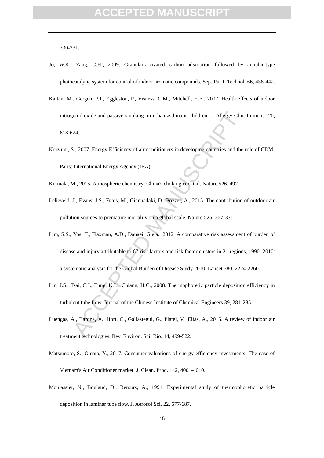330-331.

- Jo, W.K., Yang, C.H., 2009. Granular-activated carbon adsorption followed by annular-type photocatalytic system for control of indoor aromatic compounds. Sep. Purif. Technol. 66, 438-442.
- Kattan, M., Gergen, P.J., Eggleston, P., Visness, C.M., Mitchell, H.E., 2007. Health effects of indoor nitrogen dioxide and passive smoking on urban asthmatic children. J. Allergy Clin, Immun, 120, 618-624.
- Koizumi, S., 2007. Energy Efficiency of air conditioners in developing countries and the role of CDM. Paris: International Energy Agency (IEA).
- Kulmala, M., 2015. Atmospheric chemistry: China's choking cocktail. Nature 526, 497.
- Lelieveld, J., Evans, J.S., Fnais, M., Giannadaki, D., Pozzer, A., 2015. The contribution of outdoor air pollution sources to premature mortality on a global scale. Nature 525, 367-371.
- (en dioxide and passive smoking on urban asthmatic children. J. Allergy Clin,<br>
124.<br>
132.<br>
23. 2007. Energy Efficiency of air conditioners in developing countries and the<br>
14. 2015. Atmospheric chemistry: China's choking c Lim, S.S., Vos, T., Flaxman, A.D., Danaei, G.e.a., 2012. A comparative risk assessment of burden of disease and injury attributable to 67 risk factors and risk factor clusters in 21 regions, 1990–2010: a systematic analysis for the Global Burden of Disease Study 2010. Lancet 380, 2224-2260.
- Lin, J.S., Tsai, C.J., Tung, K.L., Chiang, H.C., 2008. Thermophoretic particle deposition efficiency in turbulent tube flow. Journal of the Chinese Institute of Chemical Engineers 39, 281-285.
- Luengas, A., Barona, A., Hort, C., Gallastegui, G., Platel, V., Elias, A., 2015. A review of indoor air treatment technologies. Rev. Environ. Sci. Bio. 14, 499-522.
- Matsumoto, S., Omata, Y., 2017. Consumer valuations of energy efficiency investments: The case of Vietnam's Air Conditioner market. J. Clean. Prod. 142, 4001-4010.
- Montassier, N., Boulaud, D., Renoux, A., 1991. Experimental study of thermophoretic particle deposition in laminar tube flow. J. Aerosol Sci. 22, 677-687.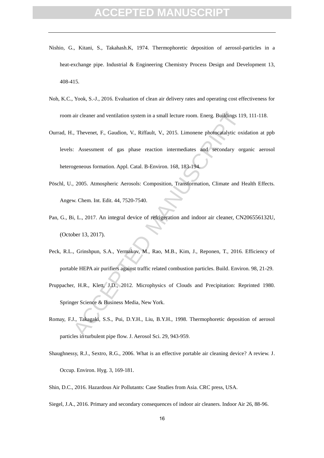### **CEPTED MANUSCRI**

- Nishio, G., Kitani, S., Takahash.K, 1974. Thermophoretic deposition of aerosol-particles in a heat-exchange pipe. Industrial & Engineering Chemistry Process Design and Development 13, 408-415.
- Noh, K.C., Yook, S.-J., 2016. Evaluation of clean air delivery rates and operating cost effectiveness for room air cleaner and ventilation system in a small lecture room. Energ. Buildings 119, 111-118.
- Ourrad, H., Thevenet, F., Gaudion, V., Riffault, V., 2015. Limonene photocatalytic oxidation at ppb levels: Assessment of gas phase reaction intermediates and secondary organic aerosol heterogeneous formation. Appl. Catal. B-Environ. 168, 183-194.
- Pöschl, U., 2005. Atmospheric Aerosols: Composition, Transformation, Climate and Health Effects. Angew. Chem. Int. Edit. 44, 7520-7540.
- Pan, G., Bi, L., 2017. An integral device of refrigeration and indoor air cleaner, CN206556132U, (October 13, 2017).
- air cleaner and ventilation system in a small lecture room. Energ. Buildings 115<br>
1. Thevenet, F., Gaudion, V., Riffault, V., 2015. Limonene photocatalytic oxi<br>
1. Assessment of gas phase reaction intermediates and seconda Peck, R.L., Grinshpun, S.A., Yermakov, M., Rao, M.B., Kim, J., Reponen, T., 2016. Efficiency of portable HEPA air purifiers against traffic related combustion particles. Build. Environ. 98, 21-29. Pruppacher, H.R., Klett, J.D., 2012. Microphysics of Clouds and Precipitation: Reprinted 1980.

Springer Science & Business Media, New York.

- Romay, F.J., Takagaki, S.S., Pui, D.Y.H., Liu, B.Y.H., 1998. Thermophoretic deposition of aerosol particles in turbulent pipe flow. J. Aerosol Sci. 29, 943-959.
- Shaughnessy, R.J., Sextro, R.G., 2006. What is an effective portable air cleaning device? A review. J. Occup. Environ. Hyg. 3, 169-181.
- Shin, D.C., 2016. Hazardous Air Pollutants: Case Studies from Asia. CRC press, USA.
- Siegel, J.A., 2016. Primary and secondary consequences of indoor air cleaners. Indoor Air 26, 88-96.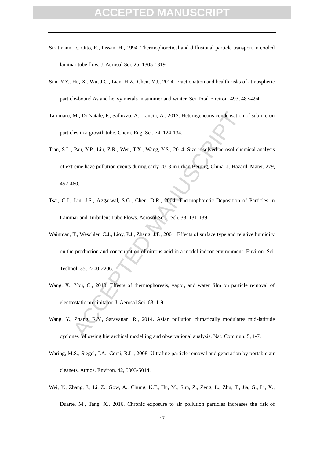- Stratmann, F., Otto, E., Fissan, H., 1994. Thermophoretical and diffusional particle transport in cooled laminar tube flow. J. Aerosol Sci. 25, 1305-1319.
- Sun, Y.Y., Hu, X., Wu, J.C., Lian, H.Z., Chen, Y.J., 2014. Fractionation and health risks of atmospheric particle-bound As and heavy metals in summer and winter. Sci.Total Environ. 493, 487-494.
- Tammaro, M., Di Natale, F., Salluzzo, A., Lancia, A., 2012. Heterogeneous condensation of submicron particles in a growth tube. Chem. Eng. Sci. 74, 124-134.
- M., Di Natale, F., Salluzzo, A., Lancia, A., 2012. Heterogeneous condensation<br>
les in a growth tube. Chem. Eng. Sci. 74, 124-134.<br>
Pan, Y.P., Liu, Z.R., Wen, T.X., Wang, Y.S., 2014. Size-resolved aerosol chementare polluti Tian, S.L., Pan, Y.P., Liu, Z.R., Wen, T.X., Wang, Y.S., 2014. Size-resolved aerosol chemical analysis of extreme haze pollution events during early 2013 in urban Beijing, China. J. Hazard. Mater. 279, 452-460.
- Tsai, C.J., Lin, J.S., Aggarwal, S.G., Chen, D.R., 2004. Thermophoretic Deposition of Particles in Laminar and Turbulent Tube Flows. Aerosol Sci. Tech. 38, 131-139.
- Wainman, T., Weschler, C.J., Lioy, P.J., Zhang, J.F., 2001. Effects of surface type and relative humidity on the production and concentration of nitrous acid in a model indoor environment. Environ. Sci. Technol. 35, 2200-2206.
- Wang, X., You, C., 2013. Effects of thermophoresis, vapor, and water film on particle removal of electrostatic precipitator. J. Aerosol Sci. 63, 1-9.
- Wang, Y., Zhang, R.Y., Saravanan, R., 2014. Asian pollution climatically modulates mid-latitude cyclones following hierarchical modelling and observational analysis. Nat. Commun. 5, 1-7.
- Waring, M.S., Siegel, J.A., Corsi, R.L., 2008. Ultrafine particle removal and generation by portable air cleaners. Atmos. Environ. 42, 5003-5014.
- Wei, Y., Zhang, J., Li, Z., Gow, A., Chung, K.F., Hu, M., Sun, Z., Zeng, L., Zhu, T., Jia, G., Li, X., Duarte, M., Tang, X., 2016. Chronic exposure to air pollution particles increases the risk of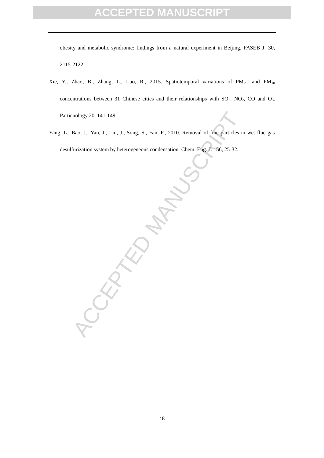### **PTED MANUSCRIPT**

obesity and metabolic syndrome: findings from a natural experiment in Beijing. FASEB J. 30, 2115-2122.

- Xie, Y., Zhao, B., Zhang, L., Luo, R., 2015. Spatiotemporal variations of  $PM_{2.5}$  and  $PM_{10}$ concentrations between 31 Chinese cities and their relationships with  $SO_2$ ,  $NO_2$ ,  $CO$  and  $O_3$ . Particuology 20, 141-149.
- Yang, L., Bao, J., Yan, J., Liu, J., Song, S., Fan, F., 2010. Removal of fine particles in wet flue gas desulfurization system by heterogeneous condensation. Chem. Eng. J. 156, 25-32.

 $A$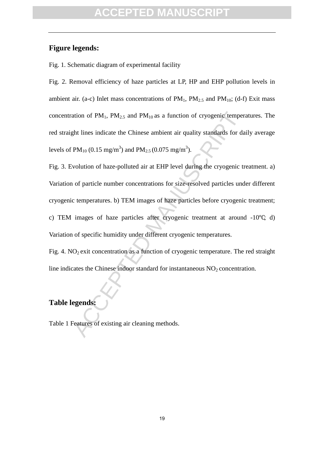#### **Figure legends:**

Fig. 1. Schematic diagram of experimental facility

Fig. 2. Removal efficiency of haze particles at LP, HP and EHP pollution levels in ambient air. (a-c) Inlet mass concentrations of  $PM_1$ ,  $PM_{2.5}$  and  $PM_{10}$ ; (d-f) Exit mass concentration of  $PM_1$ ,  $PM_{2.5}$  and  $PM_{10}$  as a function of cryogenic temperatures. The red straight lines indicate the Chinese ambient air quality standards for daily average levels of PM<sub>10</sub> (0.15 mg/m<sup>3</sup>) and PM<sub>2.5</sub> (0.075 mg/m<sup>3</sup>).

ation of PM<sub>1</sub>, PM<sub>2.5</sub> and PM<sub>10</sub> as a function of cryogenic temper<br>pht lines indicate the Chinese ambient air quality standards for da<br>PM<sub>10</sub> (0.15 mg/m<sup>3</sup>) and PM<sub>2.5</sub> (0.075 mg/m<sup>3</sup>).<br>volution of haze-polluted air at Fig. 3. Evolution of haze-polluted air at EHP level during the cryogenic treatment. a) Variation of particle number concentrations for size-resolved particles under different cryogenic temperatures. b) TEM images of haze particles before cryogenic treatment; c) TEM images of haze particles after cryogenic treatment at around -10℃; d) Variation of specific humidity under different cryogenic temperatures.

Fig. 4.  $NO<sub>2</sub>$  exit concentration as a function of cryogenic temperature. The red straight line indicates the Chinese indoor standard for instantaneous  $NO<sub>2</sub>$  concentration.

### **Table legends:**

Table 1 Features of existing air cleaning methods.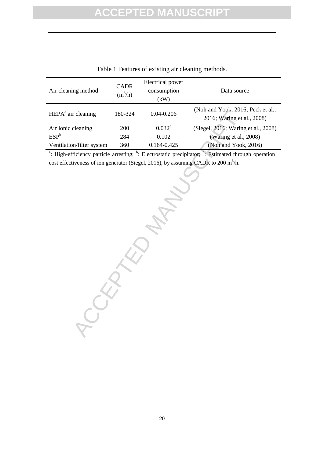| Air cleaning method            | <b>CADR</b><br>$(m^3/h)$ | Electrical power<br>consumption<br>(kW) | Data source                                                     |
|--------------------------------|--------------------------|-----------------------------------------|-----------------------------------------------------------------|
| HEPA <sup>a</sup> air cleaning | 180-324                  | $0.04 - 0.206$                          | (Noh and Yook, 2016; Peck et al.,<br>2016; Waring et al., 2008) |
| Air ionic cleaning             | 200                      | 0.032 <sup>c</sup>                      | (Siegel, 2016; Waring et al., 2008)                             |
| $ESP^b$                        | 284                      | 0.102                                   | (Waring et al., 2008)                                           |
| Ventilation/filter system      | 360                      | 0.164-0.425                             | (Noh and Yook, 2016)                                            |

Table 1 Features of existing air cleaning methods.

<sup>a</sup>: High-efficiency particle arresting;  $\overline{b}$ : Electrostatic precipitator;  $\overline{c}$ : Estimated through operation cost effectiveness of ion generator (Siegel, 2016), by assuming CADR to 200 m<sup>3</sup>/h.

**CCEPTED MANUSCRIPT**